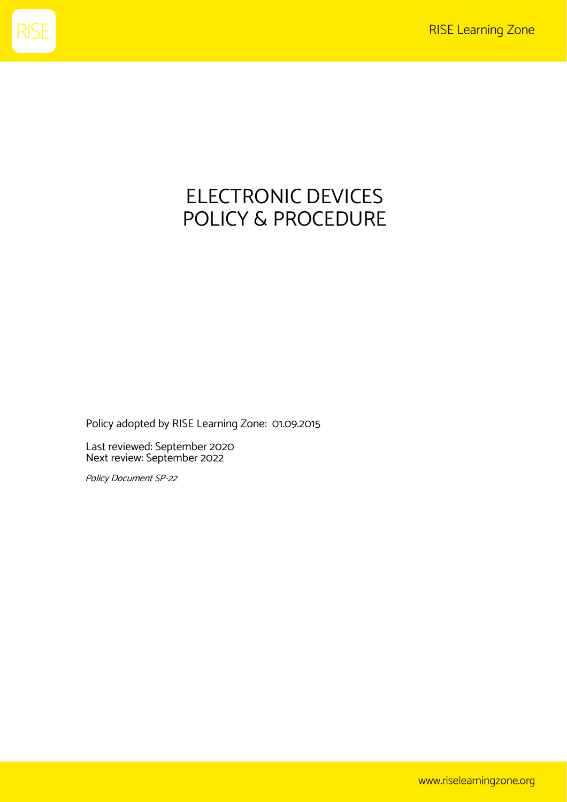

## ELECTRONIC DEVICES POLICY & PROCEDURE

Policy adopted by RISE Learning Zone: 01.09.2015

Last reviewed: September 2020 Next review: September 2022

Policy Document SP-22